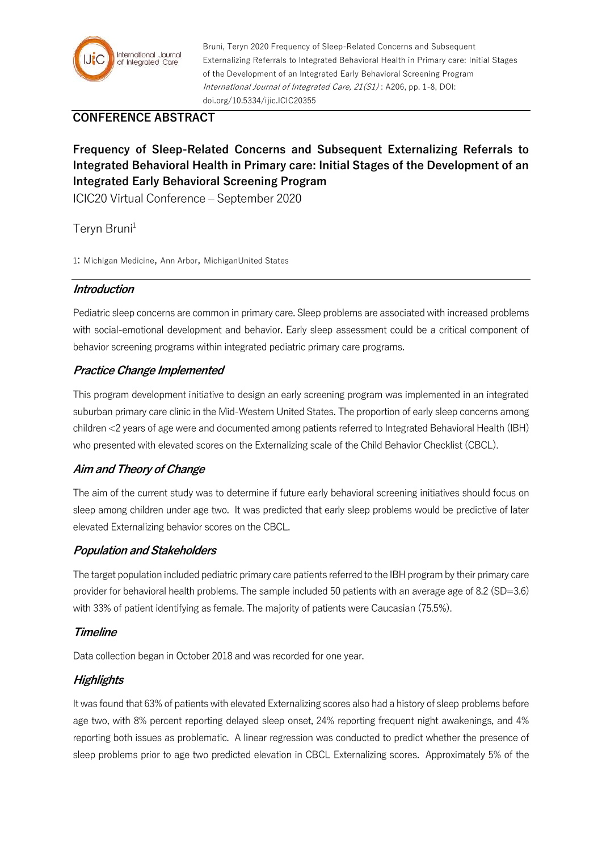

Bruni, Teryn 2020 Frequency of Sleep-Related Concerns and Subsequent Externalizing Referrals to Integrated Behavioral Health in Primary care: Initial Stages of the Development of an Integrated Early Behavioral Screening Program International Journal of Integrated Care, 21(S1) : A206, pp. 1-8, DOI: doi.org/10.5334/ijic.ICIC20355

## **CONFERENCE ABSTRACT**

# **Frequency of Sleep-Related Concerns and Subsequent Externalizing Referrals to Integrated Behavioral Health in Primary care: Initial Stages of the Development of an Integrated Early Behavioral Screening Program**

ICIC20 Virtual Conference – September 2020

Teryn Bruni<sup>1</sup>

1: Michigan Medicine, Ann Arbor, MichiganUnited States

### **Introduction**

Pediatric sleep concerns are common in primary care. Sleep problems are associated with increased problems with social-emotional development and behavior. Early sleep assessment could be a critical component of behavior screening programs within integrated pediatric primary care programs.

### **Practice Change Implemented**

This program development initiative to design an early screening program was implemented in an integrated suburban primary care clinic in the Mid-Western United States. The proportion of early sleep concerns among children <2 years of age were and documented among patients referred to Integrated Behavioral Health (IBH) who presented with elevated scores on the Externalizing scale of the Child Behavior Checklist (CBCL).

### **Aim and Theory of Change**

The aim of the current study was to determine if future early behavioral screening initiatives should focus on sleep among children under age two. It was predicted that early sleep problems would be predictive of later elevated Externalizing behavior scores on the CBCL.

### **Population and Stakeholders**

The target population included pediatric primary care patients referred to the IBH program by their primary care provider for behavioral health problems. The sample included 50 patients with an average age of 8.2 (SD=3.6) with 33% of patient identifying as female. The majority of patients were Caucasian (75.5%).

### **Timeline**

Data collection began in October 2018 and was recorded for one year.

### **Highlights**

It was found that 63% of patients with elevated Externalizing scores also had a history of sleep problems before age two, with 8% percent reporting delayed sleep onset, 24% reporting frequent night awakenings, and 4% reporting both issues as problematic. A linear regression was conducted to predict whether the presence of sleep problems prior to age two predicted elevation in CBCL Externalizing scores. Approximately 5% of the